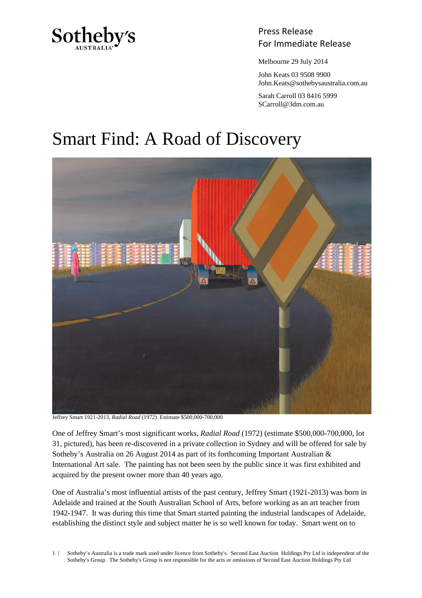

## Press Release Sotheby's<br>For Immediate Release

Melbourne 29 July 2014

 John Keats 03 9508 9900 John.Keats@sothebysaustralia.com.au

 Sarah Carroll 03 8416 5999 SCarroll@3dm.com.au

# Smart Find: A Road of Discovery



Jeffrey Smart 1921-2013, *Radial Road* (1972). Estimate \$500,000-700,000

One of Jeffrey Smart's most significant works, *Radial Road* (1972) (estimate \$500,000-700,000, lot 31, pictured), has been re-discovered in a private collection in Sydney and will be offered for sale by Sotheby's Australia on 26 August 2014 as part of its forthcoming Important Australian & International Art sale. The painting has not been seen by the public since it was first exhibited and acquired by the present owner more than 40 years ago.

One of Australia's most influential artists of the past century, Jeffrey Smart (1921-2013) was born in Adelaide and trained at the South Australian School of Arts, before working as an art teacher from 1942-1947. It was during this time that Smart started painting the industrial landscapes of Adelaide, establishing the distinct style and subject matter he is so well known for today. Smart went on to

1 | Sotheby's Australia is a trade mark used under licence from Sotheby's. Second East Auction Holdings Pty Ltd is independent of the Sotheby's Group. The Sotheby's Group is not responsible for the acts or omissions of Second East Auction Holdings Pty Ltd